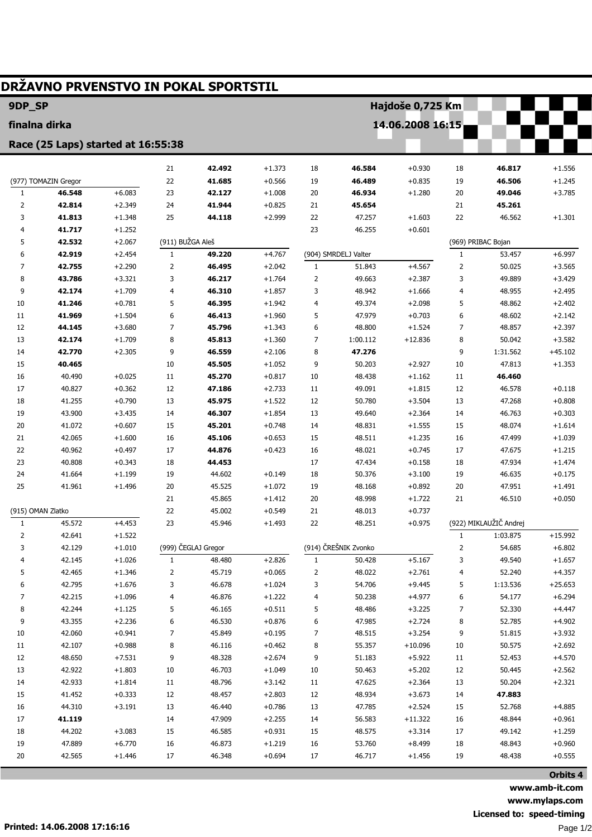| DRŽAVNO PRVENSTVO IN POKAL SPORTSTIL |                      |                      |                  |                     |                      |              |                      |                      |                  |                        |           |
|--------------------------------------|----------------------|----------------------|------------------|---------------------|----------------------|--------------|----------------------|----------------------|------------------|------------------------|-----------|
| 9DP_SP<br>Hajdoše 0,725 Km           |                      |                      |                  |                     |                      |              |                      |                      |                  |                        |           |
| finalna dirka                        |                      |                      |                  |                     |                      |              |                      |                      | 14.06.2008 16:15 |                        |           |
| Race (25 Laps) started at 16:55:38   |                      |                      |                  |                     |                      |              |                      |                      |                  |                        |           |
|                                      |                      |                      |                  |                     |                      |              |                      |                      |                  |                        |           |
|                                      |                      |                      | 21               | 42.492              | $+1.373$             | 18           | 46.584               | $+0.930$             | 18               | 46.817                 | $+1.556$  |
|                                      | (977) TOMAZIN Gregor |                      | 22               | 41.685              | $+0.566$             | 19           | 46.489               | $+0.835$             | 19               | 46.506                 | $+1.245$  |
| $\mathbf{1}$                         | 46.548               | $+6.083$             | 23               | 42.127              | $+1.008$             | 20           | 46.934               | $+1.280$             | 20               | 49.046                 | $+3.785$  |
| 2                                    | 42.814               | $+2.349$             | 24               | 41.944              | $+0.825$             | 21           | 45.654               |                      | 21               | 45.261                 |           |
| 3                                    | 41.813               | $+1.348$             | 25               | 44.118              | $+2.999$             | 22<br>23     | 47.257               | $+1.603$             | 22               | 46.562                 | $+1.301$  |
| 4<br>5                               | 41.717<br>42.532     | $+1.252$<br>$+2.067$ | (911) BUŽGA Aleš |                     |                      |              | 46.255               | $+0.601$             |                  | (969) PRIBAC Bojan     |           |
| 6                                    | 42.919               | $+2.454$             | $\mathbf{1}$     | 49.220              | $+4.767$             |              | (904) SMRDELJ Valter |                      | $\mathbf{1}$     | 53.457                 | $+6.997$  |
| 7                                    | 42.755               | $+2.290$             | $\overline{2}$   | 46.495              | $+2.042$             | $\mathbf{1}$ | 51.843               | $+4.567$             | 2                | 50.025                 | $+3.565$  |
| 8                                    | 43.786               | $+3.321$             | 3                | 46.217              | $+1.764$             | 2            | 49.663               | $+2.387$             | 3                | 49.889                 | $+3.429$  |
| 9                                    | 42.174               | $+1.709$             | 4                | 46.310              | $+1.857$             | 3            | 48.942               | $+1.666$             | $\overline{4}$   | 48.955                 | $+2.495$  |
| 10                                   | 41.246               | $+0.781$             | 5                | 46.395              | $+1.942$             | 4            | 49.374               | $+2.098$             | 5                | 48.862                 | $+2.402$  |
| 11                                   | 41.969               | $+1.504$             | 6                | 46.413              | $+1.960$             | 5            | 47.979               | $+0.703$             | 6                | 48.602                 | $+2.142$  |
| 12                                   | 44.145               | $+3.680$             | $\overline{7}$   | 45.796              | $+1.343$             | 6            | 48.800               | $+1.524$             | 7                | 48.857                 | $+2.397$  |
| 13                                   | 42.174               | $+1.709$             | 8                | 45.813              | $+1.360$             | 7            | 1:00.112             | $+12.836$            | 8                | 50.042                 | $+3.582$  |
| 14                                   | 42.770               | $+2.305$             | 9                | 46.559              | $+2.106$             | 8            | 47.276               |                      | 9                | 1:31.562               | $+45.102$ |
| 15                                   | 40.465               |                      | 10               | 45.505              | $+1.052$             | 9            | 50.203               | $+2.927$             | 10               | 47.813                 | $+1.353$  |
| 16                                   | 40.490               | $+0.025$             | 11               | 45.270              | $+0.817$             | 10           | 48.438               | $+1.162$             | 11               | 46.460                 |           |
| 17                                   | 40.827               | $+0.362$             | 12               | 47.186              | $+2.733$             | 11           | 49.091               | $+1.815$             | 12               | 46.578                 | $+0.118$  |
| 18                                   | 41.255               | $+0.790$             | 13               | 45.975              | $+1.522$             | 12           | 50.780               | $+3.504$             | 13               | 47.268                 | $+0.808$  |
| 19                                   | 43.900               | $+3.435$             | 14               | 46.307              | $+1.854$             | 13           | 49.640               | $+2.364$             | 14               | 46.763                 | $+0.303$  |
| 20                                   | 41.072               | $+0.607$             | 15               | 45.201              | $+0.748$             | 14           | 48.831               | $+1.555$             | 15               | 48.074                 | $+1.614$  |
| 21                                   | 42.065               | $+1.600$             | 16               | 45.106              | $+0.653$             | 15           | 48.511               | $+1.235$             | 16               | 47.499                 | $+1.039$  |
| 22                                   | 40.962               | $+0.497$             | 17               | 44.876              | $+0.423$             | 16           | 48.021               | $+0.745$             | 17               | 47.675                 | $+1.215$  |
| 23                                   | 40.808               | $+0.343$             | 18               | 44.453              |                      | 17           | 47.434               | $+0.158$             | 18               | 47.934                 | $+1.474$  |
| 24                                   | 41.664               | $+1.199$             | 19               | 44.602              | $+0.149$             | 18           | 50.376               | $+3.100$             | 19               | 46.635                 | $+0.175$  |
| 25                                   | 41.961               | $+1.496$             | 20<br>21         | 45.525              | $+1.072$             | 19           | 48.168               | $+0.892$             | 20               | 47.951                 | $+1.491$  |
|                                      | (915) OMAN Zlatko    |                      | 22               | 45.865<br>45.002    | $+1.412$<br>$+0.549$ | 20<br>21     | 48.998<br>48.013     | $+1.722$<br>$+0.737$ | 21               | 46.510                 | $+0.050$  |
| 1                                    | 45.572               | $+4.453$             | 23               | 45.946              | $+1.493$             | 22           | 48.251               | $+0.975$             |                  | (922) MIKLAUŽIČ Andrej |           |
| 2                                    | 42.641               | $+1.522$             |                  |                     |                      |              |                      |                      | $\mathbf{1}$     | 1:03.875               | $+15.992$ |
| 3                                    | 42.129               | $+1.010$             |                  | (999) ČEGLAJ Gregor |                      |              | (914) ČREŠNIK Zvonko |                      | 2                | 54.685                 | $+6.802$  |
| 4                                    | 42.145               | $+1.026$             | $\mathbf{1}$     | 48.480              | $+2.826$             | $\mathbf{1}$ | 50.428               | $+5.167$             | 3                | 49.540                 | $+1.657$  |
| 5                                    | 42.465               | $+1.346$             | 2                | 45.719              | $+0.065$             | 2            | 48.022               | $+2.761$             | 4                | 52.240                 | $+4.357$  |
| 6                                    | 42.795               | $+1.676$             | 3                | 46.678              | $+1.024$             | 3            | 54.706               | $+9.445$             | 5                | 1:13.536               | $+25.653$ |
| 7                                    | 42.215               | $+1.096$             | 4                | 46.876              | $+1.222$             | 4            | 50.238               | $+4.977$             | 6                | 54.177                 | $+6.294$  |
| 8                                    | 42.244               | $+1.125$             | 5                | 46.165              | $+0.511$             | 5            | 48.486               | $+3.225$             | 7                | 52.330                 | $+4.447$  |
| 9                                    | 43.355               | $+2.236$             | 6                | 46.530              | $+0.876$             | 6            | 47.985               | $+2.724$             | 8                | 52.785                 | $+4.902$  |
| 10                                   | 42.060               | $+0.941$             | $\overline{7}$   | 45.849              | $+0.195$             | 7            | 48.515               | $+3.254$             | 9                | 51.815                 | $+3.932$  |
| 11                                   | 42.107               | $+0.988$             | 8                | 46.116              | $+0.462$             | 8            | 55.357               | $+10.096$            | 10               | 50.575                 | $+2.692$  |
| 12                                   | 48.650               | $+7.531$             | 9                | 48.328              | $+2.674$             | 9            | 51.183               | $+5.922$             | 11               | 52.453                 | $+4.570$  |
| 13                                   | 42.922               | $+1.803$             | $10\,$           | 46.703              | $+1.049$             | 10           | 50.463               | $+5.202$             | 12               | 50.445                 | $+2.562$  |
| 14                                   | 42.933               | $+1.814$             | 11               | 48.796              | $+3.142$             | 11           | 47.625               | $+2.364$             | 13               | 50.204                 | $+2.321$  |
| 15                                   | 41.452               | $+0.333$             | 12               | 48.457              | $+2.803$             | 12           | 48.934               | $+3.673$             | 14               | 47.883                 |           |
| $16\,$                               | 44.310               | $+3.191$             | 13               | 46.440              | $+0.786$             | 13           | 47.785               | $+2.524$             | 15               | 52.768                 | $+4.885$  |
| 17                                   | 41.119               |                      | 14               | 47.909              | $+2.255$             | 14           | 56.583               | $+11.322$            | 16               | 48.844                 | $+0.961$  |
| 18                                   | 44.202               | $+3.083$             | 15               | 46.585              | $+0.931$             | 15           | 48.575               | $+3.314$             | 17               | 49.142                 | $+1.259$  |
| 19                                   | 47.889               | $+6.770$             | 16               | 46.873              | $+1.219$             | 16           | 53.760               | $+8.499$             | 18               | 48.843                 | $+0.960$  |
| 20                                   | 42.565               | $+1.446$             | 17               | 46.348              | $+0.694$             | 17           | 46.717               | $+1.456$             | 19               | 48.438                 | $+0.555$  |

Orbits 4 www.amb-it.com www.mylaps.com Licensed to: speed-timing Page 1/2